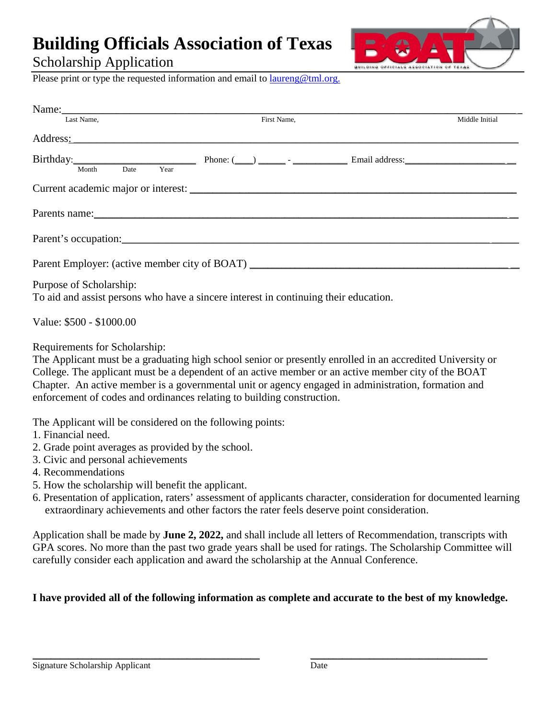## **Building Officials Association of Texas**

Scholarship Application



Please print or type the requested information and email to [laureng@tml.org.](mailto:laureng@tml.org.)

| Name: 2008. 2008. 2010. 2010. 2010. 2010. 2010. 2010. 2010. 2010. 2010. 2010. 2010. 2010. 2010. 2010. 2010. 20 |             |                |
|----------------------------------------------------------------------------------------------------------------|-------------|----------------|
| Last Name,                                                                                                     | First Name, | Middle Initial |
| Address: No. 2014                                                                                              |             |                |
|                                                                                                                |             |                |
| Year<br>Month<br>Date                                                                                          |             |                |
| Current academic major or interest:                                                                            |             |                |
|                                                                                                                |             |                |
|                                                                                                                |             |                |
| Parent Employer: (active member city of BOAT) ___________________________________                              |             |                |

Purpose of Scholarship:

To aid and assist persons who have a sincere interest in continuing their education.

Value: \$500 - \$1000.00

Requirements for Scholarship:

The Applicant must be a graduating high school senior or presently enrolled in an accredited University or College. The applicant must be a dependent of an active member or an active member city of the BOAT Chapter. An active member is a governmental unit or agency engaged in administration, formation and enforcement of codes and ordinances relating to building construction.

The Applicant will be considered on the following points:

- 1. Financial need.
- 2. Grade point averages as provided by the school.
- 3. Civic and personal achievements
- 4. Recommendations
- 5. How the scholarship will benefit the applicant.
- 6. Presentation of application, raters' assessment of applicants character, consideration for documented learning extraordinary achievements and other factors the rater feels deserve point consideration.

Application shall be made by **June 2, 2022,** and shall include all letters of Recommendation, transcripts with GPA scores. No more than the past two grade years shall be used for ratings. The Scholarship Committee will carefully consider each application and award the scholarship at the Annual Conference.

## **I have provided all of the following information as complete and accurate to the best of my knowledge.**

\_\_\_\_\_\_\_\_\_\_\_\_\_\_\_\_\_\_\_\_\_\_\_\_\_\_\_\_\_\_\_\_\_\_\_\_\_\_\_\_\_\_\_\_\_\_\_\_\_\_ \_\_\_\_\_\_\_\_\_\_\_\_\_\_\_\_\_\_\_\_\_\_\_\_\_\_\_\_\_\_\_\_\_\_\_\_\_\_\_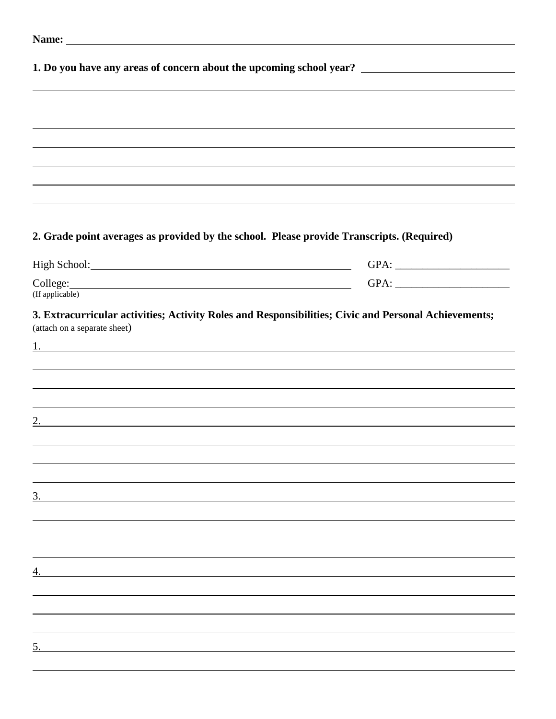|                                                                                                                              | 1. Do you have any areas of concern about the upcoming school year? ________________________________ |
|------------------------------------------------------------------------------------------------------------------------------|------------------------------------------------------------------------------------------------------|
|                                                                                                                              |                                                                                                      |
|                                                                                                                              | ,我们也不会有什么。""我们的人,我们也不会有什么?""我们的人,我们也不会有什么?""我们的人,我们也不会有什么?""我们的人,我们也不会有什么?""我们的人                     |
|                                                                                                                              | ,我们也不会有什么。""我们的人,我们也不会有什么?""我们的人,我们也不会有什么?""我们的人,我们也不会有什么?""我们的人,我们也不会有什么?""我们的人                     |
|                                                                                                                              |                                                                                                      |
|                                                                                                                              |                                                                                                      |
|                                                                                                                              |                                                                                                      |
|                                                                                                                              |                                                                                                      |
|                                                                                                                              |                                                                                                      |
|                                                                                                                              | 2. Grade point averages as provided by the school. Please provide Transcripts. (Required)            |
|                                                                                                                              |                                                                                                      |
|                                                                                                                              |                                                                                                      |
|                                                                                                                              |                                                                                                      |
| (If applicable)                                                                                                              |                                                                                                      |
| (attach on a separate sheet)                                                                                                 | 3. Extracurricular activities; Activity Roles and Responsibilities; Civic and Personal Achievements; |
|                                                                                                                              |                                                                                                      |
|                                                                                                                              | ,我们也不会有什么。""我们的人,我们也不会有什么?""我们的人,我们也不会有什么?""我们的人,我们也不会有什么?""我们的人,我们也不会有什么?""我们的人                     |
|                                                                                                                              |                                                                                                      |
|                                                                                                                              |                                                                                                      |
| 2.<br><u> 1989 - Johann Stoff, deutscher Stoffen und der Stoffen und der Stoffen und der Stoffen und der Stoffen und der</u> |                                                                                                      |
|                                                                                                                              |                                                                                                      |
|                                                                                                                              |                                                                                                      |
|                                                                                                                              |                                                                                                      |
|                                                                                                                              |                                                                                                      |
| <u>3.</u>                                                                                                                    |                                                                                                      |
|                                                                                                                              |                                                                                                      |
|                                                                                                                              |                                                                                                      |
|                                                                                                                              |                                                                                                      |
| 4.                                                                                                                           |                                                                                                      |
|                                                                                                                              |                                                                                                      |
|                                                                                                                              |                                                                                                      |
|                                                                                                                              |                                                                                                      |
|                                                                                                                              |                                                                                                      |
|                                                                                                                              |                                                                                                      |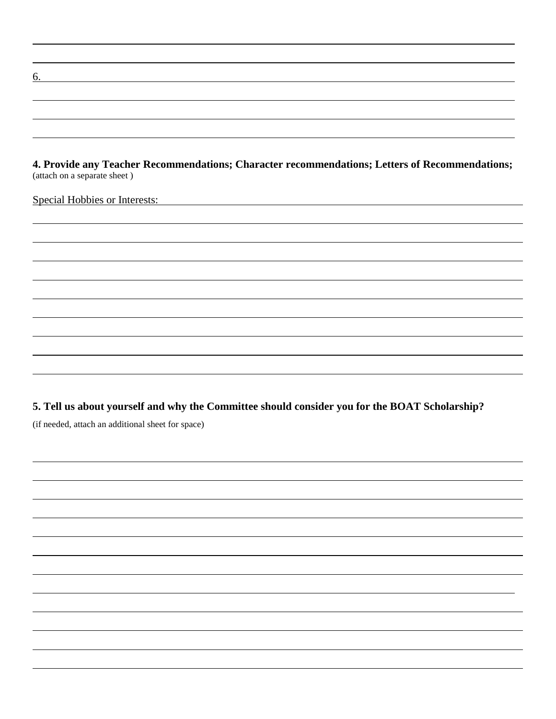**4. Provide any Teacher Recommendations; Character recommendations; Letters of Recommendations;** (attach on a separate sheet )

Special Hobbies or Interests:

6.

**5. Tell us about yourself and why the Committee should consider you for the BOAT Scholarship?** (if needed, attach an additional sheet for space)